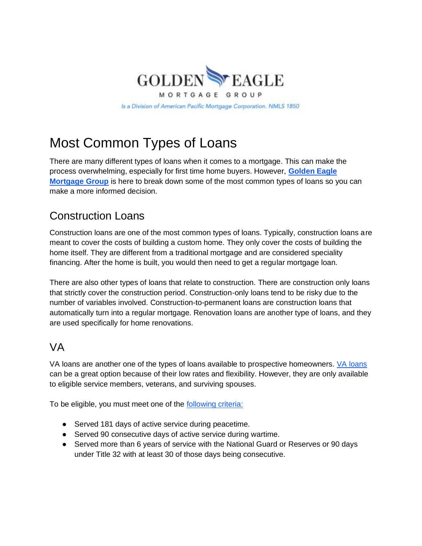

# Most Common Types of Loans

There are many different types of loans when it comes to a mortgage. This can make the process overwhelming, especially for first time home buyers. However, **[Golden Eagle](https://goldeneaglemortgagegroup.com/)  [Mortgage Group](https://goldeneaglemortgagegroup.com/)** is here to break down some of the most common types of loans so you can make a more informed decision.

## Construction Loans

Construction loans are one of the most common types of loans. Typically, construction loans are meant to cover the costs of building a custom home. They only cover the costs of building the home itself. They are different from a traditional mortgage and are considered speciality financing. After the home is built, you would then need to get a regular mortgage loan.

There are also other types of loans that relate to construction. There are construction only loans that strictly cover the construction period. Construction-only loans tend to be risky due to the number of variables involved. Construction-to-permanent loans are construction loans that automatically turn into a regular mortgage. Renovation loans are another type of loans, and they are used specifically for home renovations.

#### VA

VA loans are another one of the types of loans available to prospective homeowners. [VA loans](https://goldeneaglemortgagegroup.com/loan-programs/) can be a great option because of their low rates and flexibility. However, they are only available to eligible service members, veterans, and surviving spouses.

To be eligible, you must meet one of the [following criteria:](https://www.va.gov/housing-assistance/home-loans/eligibility/)

- Served 181 days of active service during peacetime.
- Served 90 consecutive days of active service during wartime.
- Served more than 6 years of service with the National Guard or Reserves or 90 days under Title 32 with at least 30 of those days being consecutive.